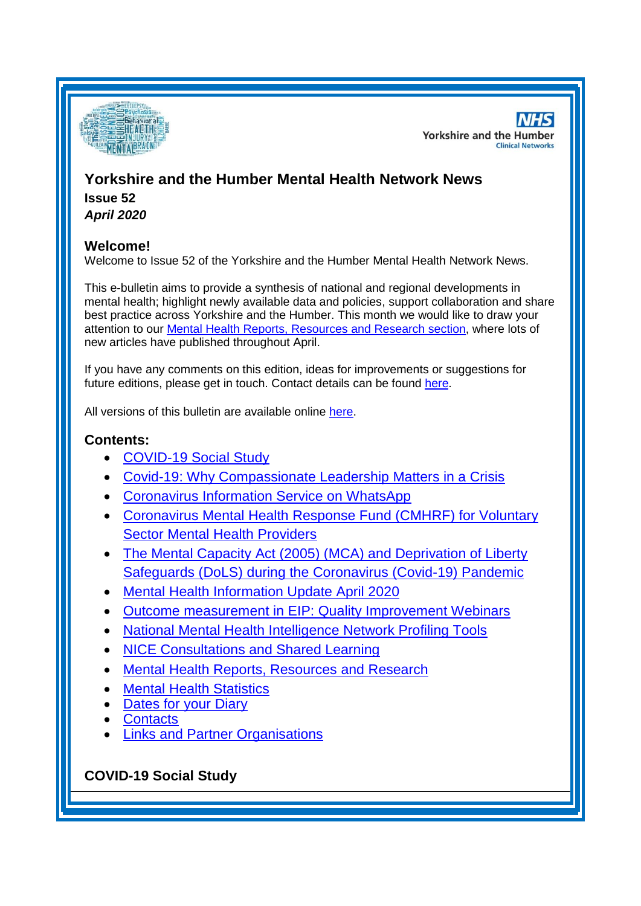

**NHS Yorkshire and the Humber Clinical Networks** 

# **Yorkshire and the Humber Mental Health Network News Issue 52**

*April 2020*

# **Welcome!**

Welcome to Issue 52 of the Yorkshire and the Humber Mental Health Network News.

This e-bulletin aims to provide a synthesis of national and regional developments in mental health; highlight newly available data and policies, support collaboration and share best practice across Yorkshire and the Humber. This month we would like to draw your attention to our [Mental Health Reports, Resources and Research](#page-3-0) section, where lots of new articles have published throughout April.

If you have any comments on this edition, ideas for improvements or suggestions for future editions, please get in touch. Contact details can be found [here.](#page-6-0)

All versions of this bulletin are available online [here.](http://www.yhscn.nhs.uk/mental-health-clinic/mental-health-network/MH-documents-and-links.php)

# **Contents:**

- [COVID-19 Social Study](#page-0-0)
- [Covid-19: Why Compassionate Leadership Matters in a Crisis](#page-1-0)
- [Coronavirus Information Service on WhatsApp](#page-1-1)
- [Coronavirus Mental Health Response Fund \(CMHRF\) for Voluntary](#page-1-2)  [Sector Mental Health Providers](#page-1-2)
- [The Mental Capacity Act \(2005\) \(MCA\) and Deprivation of Liberty](#page-1-3)  [Safeguards \(DoLS\) during the Coronavirus \(Covid-19\) Pandemic](#page-1-3)
- [Mental Health Information Update April 2020](#page-2-0)
- [Outcome measurement in EIP: Quality Improvement Webinars](#page-2-1)
- [National Mental Health Intelligence Network Profiling Tools](#page-0-1)
- [NICE Consultations and Shared Learning](#page-3-0)
- [Mental Health Reports, Resources and](#page-3-0) Research
- **[Mental Health Statistics](#page-5-0)**
- [Dates for your Diary](#page-5-1)
- **[Contacts](#page-6-0)**
- [Links and Partner Organisations](#page-7-0)

# <span id="page-0-1"></span><span id="page-0-0"></span>**COVID-19 Social Study**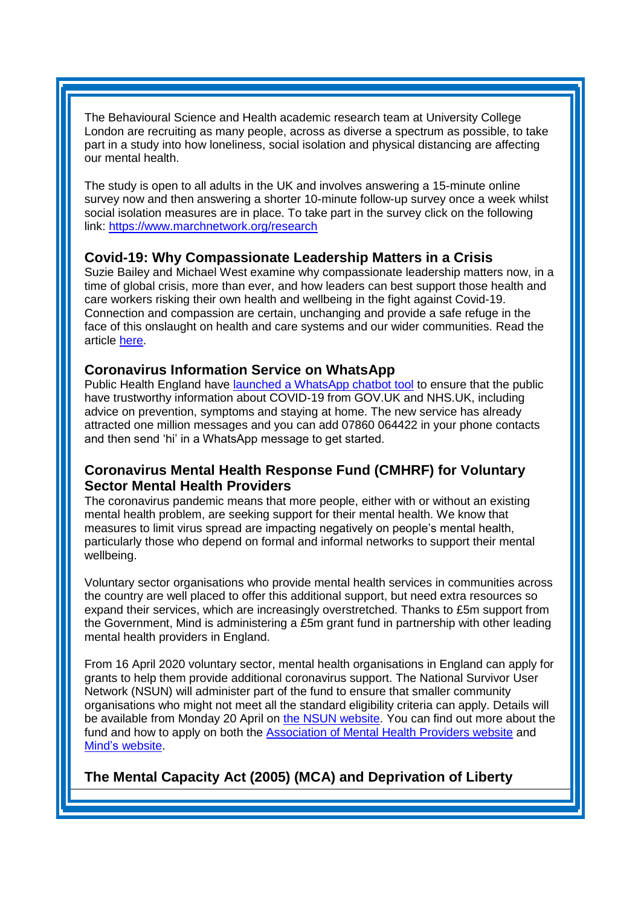The Behavioural Science and Health academic research team at University College London are recruiting as many people, across as diverse a spectrum as possible, to take part in a study into how loneliness, social isolation and physical distancing are affecting our mental health.

The study is open to all adults in the UK and involves answering a 15-minute online survey now and then answering a shorter 10-minute follow-up survey once a week whilst social isolation measures are in place. To take part in the survey click on the following link:<https://www.marchnetwork.org/research>

#### <span id="page-1-0"></span>**Covid-19: Why Compassionate Leadership Matters in a Crisis**

Suzie Bailey and Michael West examine why compassionate leadership matters now, in a time of global crisis, more than ever, and how leaders can best support those health and care workers risking their own health and wellbeing in the fight against Covid-19. Connection and compassion are certain, unchanging and provide a safe refuge in the face of this onslaught on health and care systems and our wider communities. Read the article [here.](https://www.kingsfund.org.uk/blog/2020/03/covid-19-crisis-compassionate-leadership?utm_source=The%20King%27s%20Fund%20newsletters%20%28main%20account%29&utm_medium=email&utm_campaign=11454338_NEWSL_The%20Weekly%20Update%202020-04-03&utm_content=covid_leadership_blog_button&dm_i=21A8,6TI82,FLWT3F,RB96M,1)

#### <span id="page-1-1"></span>**Coronavirus Information Service on WhatsApp**

Public Health England have [launched a WhatsApp chatbot tool](https://pheexternal.newsweaver.com/a351o8zsqr/17z31t9umo615u4gzxbtpx/external?email=true&a=5&p=4380268&t=2765467) to ensure that the public have trustworthy information about COVID-19 from GOV.UK and NHS.UK, including advice on prevention, symptoms and staying at home. The new service has already attracted one million messages and you can add 07860 064422 in your phone contacts and then send 'hi' in a WhatsApp message to get started.

# <span id="page-1-2"></span>**Coronavirus Mental Health Response Fund (CMHRF) for Voluntary Sector Mental Health Providers**

The coronavirus pandemic means that more people, either with or without an existing mental health problem, are seeking support for their mental health. We know that measures to limit virus spread are impacting negatively on people's mental health, particularly those who depend on formal and informal networks to support their mental wellbeing.

Voluntary sector organisations who provide mental health services in communities across the country are well placed to offer this additional support, but need extra resources so expand their services, which are increasingly overstretched. Thanks to £5m support from the Government, Mind is administering a £5m grant fund in partnership with other leading mental health providers in England.

From 16 April 2020 voluntary sector, mental health organisations in England can apply for grants to help them provide additional coronavirus support. The National Survivor User Network (NSUN) will administer part of the fund to ensure that smaller community organisations who might not meet all the standard eligibility criteria can apply. Details will be available from Monday 20 April on [the NSUN website.](http://www.nsun.org.uk/) You can find out more about the fund and how to apply on both the [Association of Mental Health Providers website](https://amhp.org.uk/mental-health-response-fund) and [Mind's website.](https://www.mind.org.uk/news-campaigns/campaigns/coronavirus-mental-health-response-fund/)

<span id="page-1-3"></span>**The Mental Capacity Act (2005) (MCA) and Deprivation of Liberty**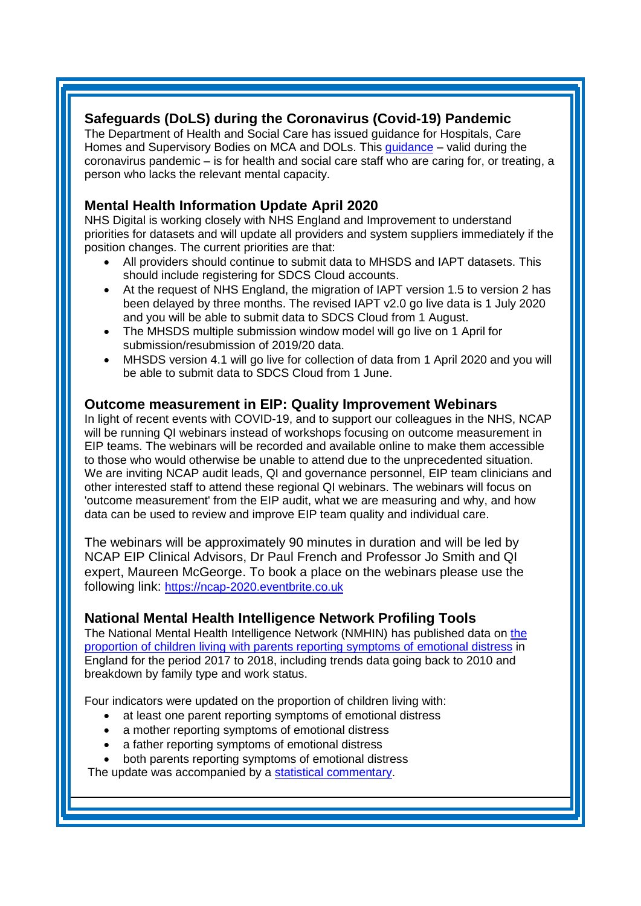# **Safeguards (DoLS) during the Coronavirus (Covid-19) Pandemic**

The Department of Health and Social Care has issued guidance for Hospitals, Care Homes and Supervisory Bodies on MCA and DOLs. This [guidance](https://assets.publishing.service.gov.uk/government/uploads/system/uploads/attachment_data/file/878910/Emergency_MCA_DoLS_Guidance_COVID19.pdf?utm_source=The%20King%27s%20Fund%20newsletters%20%28main%20account%29&utm_medium=email&utm_campaign=11460730_NEWSL_HMP%202020-04-14&dm_i=21A8,6TN5M,FLWT3F,RCFUX,1) – valid during the coronavirus pandemic – is for health and social care staff who are caring for, or treating, a person who lacks the relevant mental capacity.

# <span id="page-2-0"></span>**Mental Health Information Update April 2020**

NHS Digital is working closely with NHS England and Improvement to understand priorities for datasets and will update all providers and system suppliers immediately if the position changes. The current priorities are that:

- All providers should continue to submit data to MHSDS and IAPT datasets. This should include registering for SDCS Cloud accounts.
- At the request of NHS England, the migration of IAPT version 1.5 to version 2 has been delayed by three months. The revised IAPT v2.0 go live data is 1 July 2020 and you will be able to submit data to SDCS Cloud from 1 August.
- The MHSDS multiple submission window model will go live on 1 April for submission/resubmission of 2019/20 data.
- MHSDS version 4.1 will go live for collection of data from 1 April 2020 and you will be able to submit data to SDCS Cloud from 1 June.

#### <span id="page-2-1"></span>**Outcome measurement in EIP: Quality Improvement Webinars**

In light of recent events with COVID-19, and to support our colleagues in the NHS, NCAP will be running QI webinars instead of workshops focusing on outcome measurement in EIP teams. The webinars will be recorded and available online to make them accessible to those who would otherwise be unable to attend due to the unprecedented situation. We are inviting NCAP audit leads, QI and governance personnel, EIP team clinicians and other interested staff to attend these regional QI webinars. The webinars will focus on 'outcome measurement' from the EIP audit, what we are measuring and why, and how data can be used to review and improve EIP team quality and individual care.

The webinars will be approximately 90 minutes in duration and will be led by NCAP EIP Clinical Advisors, Dr Paul French and Professor Jo Smith and QI expert, Maureen McGeorge. To book a place on the webinars please use the following link: [https://ncap-2020.eventbrite.co.uk](https://ncap-2020.eventbrite.co.uk/)

# **National Mental Health Intelligence Network Profiling Tools**

The National Mental Health Intelligence Network (NMHIN) has published data on [the](https://lnks.gd/l/eyJhbGciOiJIUzI1NiJ9.eyJidWxsZXRpbl9saW5rX2lkIjoxMDEsInVyaSI6ImJwMjpjbGljayIsImJ1bGxldGluX2lkIjoiMjAyMDA0MDguMTk4OTAwNjEiLCJ1cmwiOiJodHRwczovL3d3dy5nb3YudWsvZ292ZXJubWVudC9zdGF0aXN0aWNzL2NoaWxkcmVuLWxpdmluZy13aXRoLXBhcmVudHMtaW4tZW1vdGlvbmFsLWRpc3RyZXNzLW1hcmNoLTIwMjAtdXBkYXRlIn0.Ufjo9L6qnjq11hsPvWJyIfaUAkba9SFFTG8blYcdxpo/br/77147199212-l)  [proportion of children living with parents reporting symptoms of](https://lnks.gd/l/eyJhbGciOiJIUzI1NiJ9.eyJidWxsZXRpbl9saW5rX2lkIjoxMDEsInVyaSI6ImJwMjpjbGljayIsImJ1bGxldGluX2lkIjoiMjAyMDA0MDguMTk4OTAwNjEiLCJ1cmwiOiJodHRwczovL3d3dy5nb3YudWsvZ292ZXJubWVudC9zdGF0aXN0aWNzL2NoaWxkcmVuLWxpdmluZy13aXRoLXBhcmVudHMtaW4tZW1vdGlvbmFsLWRpc3RyZXNzLW1hcmNoLTIwMjAtdXBkYXRlIn0.Ufjo9L6qnjq11hsPvWJyIfaUAkba9SFFTG8blYcdxpo/br/77147199212-l) emotional distress in England for the period 2017 to 2018, including trends data going back to 2010 and breakdown by family type and work status.

Four indicators were updated on the proportion of children living with:

- at least one parent reporting symptoms of emotional distress
- a mother reporting symptoms of emotional distress
- a father reporting symptoms of emotional distress
- both parents reporting symptoms of emotional distress

The update was accompanied by a [statistical commentary.](https://lnks.gd/l/eyJhbGciOiJIUzI1NiJ9.eyJidWxsZXRpbl9saW5rX2lkIjoxMDIsInVyaSI6ImJwMjpjbGljayIsImJ1bGxldGluX2lkIjoiMjAyMDA0MDguMTk4OTAwNjEiLCJ1cmwiOiJodHRwczovL3d3dy5nb3YudWsvZ292ZXJubWVudC9wdWJsaWNhdGlvbnMvY2hpbGRyZW4tbGl2aW5nLXdpdGgtcGFyZW50cy1pbi1lbW90aW9uYWwtZGlzdHJlc3MtbWFyY2gtMjAyMC11cGRhdGUvc3RhdGlzdGljYWwtY29tbWVudGFyeS1jaGlsZHJlbi1saXZpbmctd2l0aC1wYXJlbnRzLWluLWVtb3Rpb25hbC1kaXN0cmVzcy0yMDIwLXVwZGF0ZSJ9.K-8kXgV2AMHDv1xmbZwZUPw5fZEN5Ok5UfwOqEaHvr0/br/77147199212-l)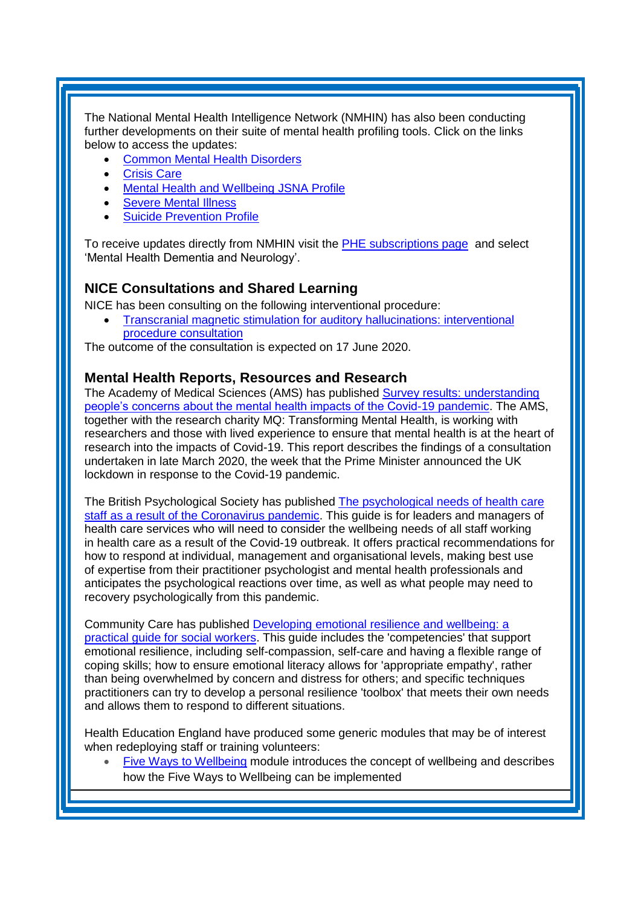The National Mental Health Intelligence Network (NMHIN) has also been conducting further developments on their suite of mental health profiling tools. Click on the links below to access the updates:

- [Common Mental Health Disorders](http://links.govdelivery.com/track?type=click&enid=ZWFzPTEmbXNpZD0mYXVpZD0mbWFpbGluZ2lkPTIwMTcxMjA1LjgxOTE2MDgxJm1lc3NhZ2VpZD1NREItUFJELUJVTC0yMDE3MTIwNS44MTkxNjA4MSZkYXRhYmFzZWlkPTEwMDEmc2VyaWFsPTE2OTcwMTE4JmVtYWlsaWQ9c2FyYWguYm91bEBuaHMubmV0JnVzZXJpZD1zYXJhaC5ib3VsQG5ocy5uZXQmdGFyZ2V0aWQ9JmZsPSZleHRyYT1NdWx0aXZhcmlhdGVJZD0mJiY=&&&104&&&https://fingertips.phe.org.uk/profile-group/mental-health/profile/common-mental-disorders)
- [Crisis Care](http://links.govdelivery.com/track?type=click&enid=ZWFzPTEmbXNpZD0mYXVpZD0mbWFpbGluZ2lkPTIwMTcxMjA1LjgxOTE2MDgxJm1lc3NhZ2VpZD1NREItUFJELUJVTC0yMDE3MTIwNS44MTkxNjA4MSZkYXRhYmFzZWlkPTEwMDEmc2VyaWFsPTE2OTcwMTE4JmVtYWlsaWQ9c2FyYWguYm91bEBuaHMubmV0JnVzZXJpZD1zYXJhaC5ib3VsQG5ocy5uZXQmdGFyZ2V0aWQ9JmZsPSZleHRyYT1NdWx0aXZhcmlhdGVJZD0mJiY=&&&105&&&https://fingertips.phe.org.uk/profile-group/mental-health/profile/crisis-care)
- Mental Health [and Wellbeing JSNA Profile](http://links.govdelivery.com/track?type=click&enid=ZWFzPTEmbXNpZD0mYXVpZD0mbWFpbGluZ2lkPTIwMTcxMjA1LjgxOTE2MDgxJm1lc3NhZ2VpZD1NREItUFJELUJVTC0yMDE3MTIwNS44MTkxNjA4MSZkYXRhYmFzZWlkPTEwMDEmc2VyaWFsPTE2OTcwMTE4JmVtYWlsaWQ9c2FyYWguYm91bEBuaHMubmV0JnVzZXJpZD1zYXJhaC5ib3VsQG5ocy5uZXQmdGFyZ2V0aWQ9JmZsPSZleHRyYT1NdWx0aXZhcmlhdGVJZD0mJiY=&&&106&&&https://fingertips.phe.org.uk/profile-group/mental-health/profile/mh-jsna)
- [Severe Mental](http://links.govdelivery.com/track?type=click&enid=ZWFzPTEmbXNpZD0mYXVpZD0mbWFpbGluZ2lkPTIwMTcxMjA1LjgxOTE2MDgxJm1lc3NhZ2VpZD1NREItUFJELUJVTC0yMDE3MTIwNS44MTkxNjA4MSZkYXRhYmFzZWlkPTEwMDEmc2VyaWFsPTE2OTcwMTE4JmVtYWlsaWQ9c2FyYWguYm91bEBuaHMubmV0JnVzZXJpZD1zYXJhaC5ib3VsQG5ocy5uZXQmdGFyZ2V0aWQ9JmZsPSZleHRyYT1NdWx0aXZhcmlhdGVJZD0mJiY=&&&108&&&https://fingertips.phe.org.uk/profile-group/mental-health/profile/severe-mental-illness) Illness
- **[Suicide Prevention Profile](http://links.govdelivery.com/track?type=click&enid=ZWFzPTEmbXNpZD0mYXVpZD0mbWFpbGluZ2lkPTIwMTgwNjA1LjkwNzEwNzExJm1lc3NhZ2VpZD1NREItUFJELUJVTC0yMDE4MDYwNS45MDcxMDcxMSZkYXRhYmFzZWlkPTEwMDEmc2VyaWFsPTE3MDEzODU4JmVtYWlsaWQ9c2FyYWguYm91bEBuaHMubmV0JnVzZXJpZD1zYXJhaC5ib3VsQG5ocy5uZXQmdGFyZ2V0aWQ9JmZsPSZleHRyYT1NdWx0aXZhcmlhdGVJZD0mJiY=&&&104&&&https://fingertips.phe.org.uk/profile-group/mental-health/profile/suicide)**

To receive updates directly from NMHIN visit the [PHE subscriptions page](http://links.govdelivery.com/track?type=click&enid=ZWFzPTEmbXNpZD0mYXVpZD0mbWFpbGluZ2lkPTIwMTgwMjA3Ljg0OTY1MzgxJm1lc3NhZ2VpZD1NREItUFJELUJVTC0yMDE4MDIwNy44NDk2NTM4MSZkYXRhYmFzZWlkPTEwMDEmc2VyaWFsPTE2OTgzNDk5JmVtYWlsaWQ9c2FyYWguYm91bEBuaHMubmV0JnVzZXJpZD1zYXJhaC5ib3VsQG5ocy5uZXQmdGFyZ2V0aWQ9JmZsPSZleHRyYT1NdWx0aXZhcmlhdGVJZD0mJiY=&&&107&&&https://public.govdelivery.com/accounts/UKHPA/subscribers/new?preferences=true) and select 'Mental Health Dementia and Neurology'.

# <span id="page-3-0"></span>**NICE Consultations and Shared Learning**

NICE has been consulting on the following interventional procedure:

• [Transcranial magnetic stimulation for auditory](https://www.nice.org.uk/guidance/indevelopment/gid-ipg10141/consultation/html-content) hallucinations: interventional [procedure consultation](https://www.nice.org.uk/guidance/indevelopment/gid-ipg10141/consultation/html-content)

The outcome of the consultation is expected on 17 June 2020.

#### **Mental Health Reports, Resources and Research**

The Academy of Medical Sciences (AMS) has published [Survey results: understanding](https://acmedsci.ac.uk/file-download/99436893?utm_source=The%20King%27s%20Fund%20newsletters%20%28main%20account%29&utm_medium=email&utm_campaign=11479183_NEWSL_HMP%202020-04-21&dm_i=21A8,6U1E7,FLWT3F,RE7T9,1)  [people's concerns about the mental health impacts of the Covid-19 pandemic.](https://acmedsci.ac.uk/file-download/99436893?utm_source=The%20King%27s%20Fund%20newsletters%20%28main%20account%29&utm_medium=email&utm_campaign=11479183_NEWSL_HMP%202020-04-21&dm_i=21A8,6U1E7,FLWT3F,RE7T9,1) The AMS, together with the research charity MQ: Transforming Mental Health, is working with researchers and those with lived experience to ensure that mental health is at the heart of research into the impacts of Covid-19. This report describes the findings of a consultation undertaken in late March 2020, the week that the Prime Minister announced the UK lockdown in response to the Covid-19 pandemic.

The British Psychological Society has published [The psychological needs of health care](https://www.bps.org.uk/sites/www.bps.org.uk/files/News/News%20-%20Files/Psychological%20needs%20of%20healthcare%20staff.pdf?utm_source=The%20King%27s%20Fund%20newsletters%20%28main%20account%29&utm_medium=email&utm_campaign=11474004_NEWSL_HMP%202020-04-17&dm_i=21A8,6TXEC,FLWT3F,RDGEX,1)  [staff as a result of the Coronavirus pandemic.](https://www.bps.org.uk/sites/www.bps.org.uk/files/News/News%20-%20Files/Psychological%20needs%20of%20healthcare%20staff.pdf?utm_source=The%20King%27s%20Fund%20newsletters%20%28main%20account%29&utm_medium=email&utm_campaign=11474004_NEWSL_HMP%202020-04-17&dm_i=21A8,6TXEC,FLWT3F,RDGEX,1) This guide is for leaders and managers of health care services who will need to consider the wellbeing needs of all staff working in health care as a result of the Covid-19 outbreak. It offers practical recommendations for how to respond at individual, management and organisational levels, making best use of expertise from their practitioner psychologist and mental health professionals and anticipates the psychological reactions over time, as well as what people may need to recovery psychologically from this pandemic.

Community Care has published [Developing emotional resilience and wellbeing: a](https://markallenassets.blob.core.windows.net/communitycare/2020/04/Community-Care-Inform-emotional-resilience-guide.pdf?utm_source=The%20King%27s%20Fund%20newsletters%20%28main%20account%29&utm_medium=email&utm_campaign=11474004_NEWSL_HMP%202020-04-17&dm_i=21A8,6TXEC,FLWT3F,RDIKE,1) [practical guide for social workers.](https://markallenassets.blob.core.windows.net/communitycare/2020/04/Community-Care-Inform-emotional-resilience-guide.pdf?utm_source=The%20King%27s%20Fund%20newsletters%20%28main%20account%29&utm_medium=email&utm_campaign=11474004_NEWSL_HMP%202020-04-17&dm_i=21A8,6TXEC,FLWT3F,RDIKE,1) This guide includes the 'competencies' that support emotional resilience, including self-compassion, self-care and having a flexible range of coping skills; how to ensure emotional literacy allows for 'appropriate empathy', rather than being overwhelmed by concern and distress for others; and specific techniques practitioners can try to develop a personal resilience 'toolbox' that meets their own needs and allows them to respond to different situations.

Health Education England have produced some generic modules that may be of interest when redeploying staff or training volunteers:

• [Five Ways to Wellbeing](https://www.e-lfh.org.uk/making-every-contact-count-five-ways-to-wellbeing/) module introduces the concept of wellbeing and describes how the Five Ways to Wellbeing can be implemented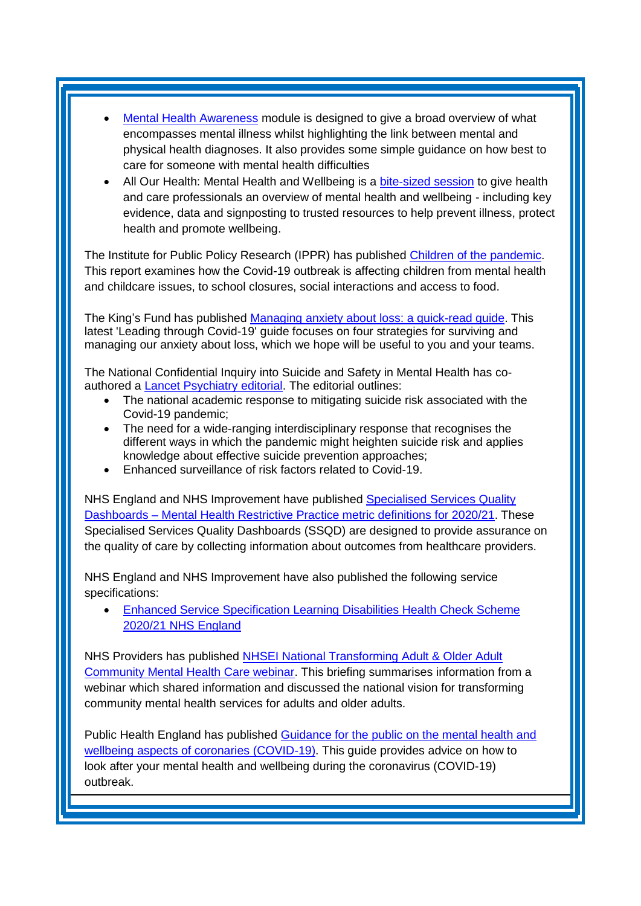- **[Mental Health Awareness](https://www.e-lfh.org.uk/programmes/mental-health-awareness-programme/) module is designed to give a broad overview of what** encompasses mental illness whilst highlighting the link between mental and physical health diagnoses. It also provides some simple guidance on how best to care for someone with mental health difficulties
- All Our Health: Mental Health and Wellbeing is a [bite-sized session](https://portal.e-lfh.org.uk/Component/Details/587402) to give health and care professionals an overview of mental health and wellbeing - including key evidence, data and signposting to trusted resources to help prevent illness, protect health and promote wellbeing.

The Institute for Public Policy Research (IPPR) has published [Children of the pandemic.](This%20report%20examines%20how%20the%20Covid-19%20outbreak%20is%20affecting%20children%20–%20from%20mental%20health%20and%20childcare%20issues,%20to%20school%20closures,%20social%20interactions%20and%20access%20to%20food.) This report examines how the Covid-19 outbreak is affecting children from mental health and childcare issues, to school closures, social interactions and access to food.

The King's Fund has published [Managing anxiety about loss: a quick-read guide.](https://www.kingsfund.org.uk/publications/managing-anxiety-about-loss-covid-19?utm_source=The%20King%27s%20Fund%20newsletters%20%28main%20account%29&utm_medium=email&utm_campaign=11492147_NEWSL_The%20Weekly%20Update%202020-04-24&utm_content=managing_anxiety_button&dm_i=21A8,6UBEB,FLWT3F,RFE4Z,1) This latest 'Leading through Covid-19' guide focuses on four strategies for surviving and managing our anxiety about loss, which we hope will be useful to you and your teams.

The National Confidential Inquiry into Suicide and Safety in Mental Health has coauthored a [Lancet Psychiatry editorial.](https://www.thelancet.com/journals/lanpsy/article/PIIS2215-0366(20)30171-1/fulltext) The editorial outlines:

- The national academic response to mitigating suicide risk associated with the Covid-19 pandemic;
- The need for a wide-ranging interdisciplinary response that recognises the different ways in which the pandemic might heighten suicide risk and applies knowledge about effective suicide prevention approaches;
- Enhanced surveillance of risk factors related to Covid-19.

NHS England and NHS Improvement have published Specialised Services Quality Dashboards – [Mental Health Restrictive Practice metric definitions for 2020/21.](https://www.england.nhs.uk/publication/specialised-services-quality-dashboards-mental-health-restrictive-practice-metric-definitions-for-2020-21/) These Specialised Services Quality Dashboards (SSQD) are designed to provide assurance on the quality of care by collecting information about outcomes from healthcare providers.

NHS England and NHS Improvement have also published the following service specifications:

• [Enhanced Service Specification Learning Disabilities Health Check Scheme](https://www.england.nhs.uk/publication/enhanced-service-specification-learning-disabilities-health-check-scheme-2020-21-nhs-england/)  [2020/21 NHS England](https://www.england.nhs.uk/publication/enhanced-service-specification-learning-disabilities-health-check-scheme-2020-21-nhs-england/)

NHS Providers has published [NHSEI National Transforming Adult & Older Adult](https://nhsproviders.org/resource-library/briefings/nhsei-national-transforming-adult-older-adult-community-mental-health-care-webinar)  [Community Mental Health Care webinar.](https://nhsproviders.org/resource-library/briefings/nhsei-national-transforming-adult-older-adult-community-mental-health-care-webinar) This briefing summarises information from a webinar which shared information and discussed the national vision for transforming community mental health services for adults and older adults.

Public Health England has published [Guidance for the public on the mental health and](https://www.gov.uk/government/publications/covid-19-guidance-for-the-public-on-mental-health-and-wellbeing)  [wellbeing aspects of coronaries \(COVID-19\).](https://www.gov.uk/government/publications/covid-19-guidance-for-the-public-on-mental-health-and-wellbeing) This guide provides advice on how to look after your mental health and wellbeing during the coronavirus (COVID-19) outbreak.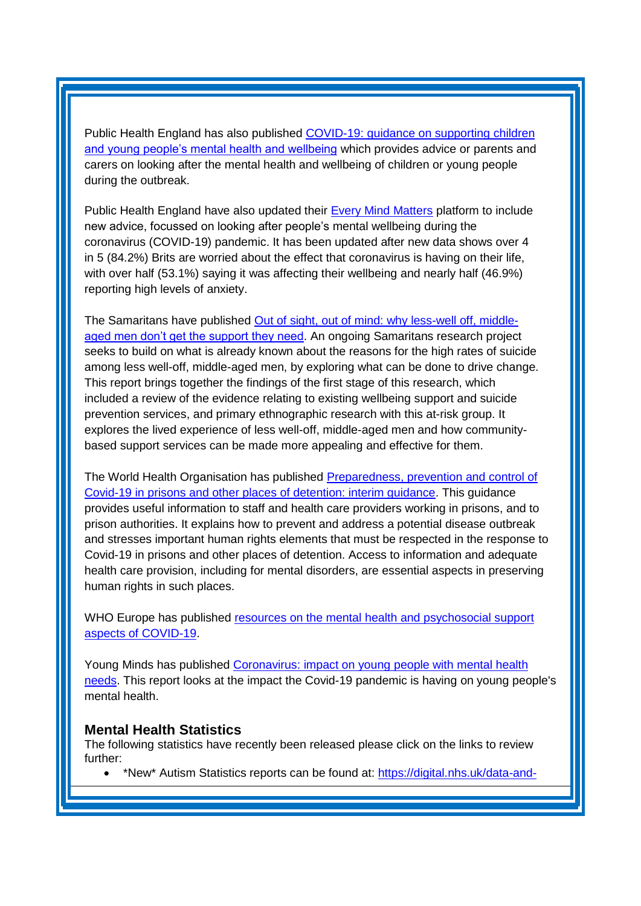Public Health England has also published [COVID-19: guidance on supporting](https://www.gov.uk/government/publications/covid-19-guidance-on-supporting-children-and-young-peoples-mental-health-and-wellbeing) children [and young people's mental health and wellbeing](https://www.gov.uk/government/publications/covid-19-guidance-on-supporting-children-and-young-peoples-mental-health-and-wellbeing) which provides advice or parents and carers on looking after the mental health and wellbeing of children or young people during the outbreak.

Public Health England have also updated their [Every Mind Matters](https://www.nhs.uk/oneyou/every-mind-matters/) platform to include new advice, focussed on looking after people's mental wellbeing during the coronavirus (COVID-19) pandemic. It has been updated after new data shows over 4 in 5 (84.2%) Brits are worried about the effect that coronavirus is having on their life, with over half (53.1%) saying it was affecting their wellbeing and nearly half (46.9%) reporting high levels of anxiety.

The Samaritans have published [Out of sight, out of mind: why less-well off, middle](https://media.samaritans.org/documents/Lived_experience_report_FINAL.pdf?utm_source=The%20King%27s%20Fund%20newsletters%20%28main%20account%29&utm_medium=email&utm_campaign=11474004_NEWSL_HMP%202020-04-17&dm_i=21A8,6TXEC,FLWT3F,RDXLN,1)[aged men don't get the support they need.](https://media.samaritans.org/documents/Lived_experience_report_FINAL.pdf?utm_source=The%20King%27s%20Fund%20newsletters%20%28main%20account%29&utm_medium=email&utm_campaign=11474004_NEWSL_HMP%202020-04-17&dm_i=21A8,6TXEC,FLWT3F,RDXLN,1) An ongoing Samaritans research project seeks to build on what is already known about the reasons for the high rates of suicide among less well-off, middle-aged men, by exploring what can be done to drive change. This report brings together the findings of the first stage of this research, which included a review of the evidence relating to existing wellbeing support and suicide prevention services, and primary ethnographic research with this at-risk group. It explores the lived experience of less well-off, middle-aged men and how communitybased support services can be made more appealing and effective for them.

The World Health Organisation has published [Preparedness, prevention and control of](http://www.euro.who.int/__data/assets/pdf_file/0019/434026/Preparedness-prevention-and-control-of-COVID-19-in-prisons.pdf?utm_source=The%20King%27s%20Fund%20newsletters%20%28main%20account%29&utm_medium=email&utm_campaign=11402758_NEWSL_HWB_2020-03-30&dm_i=21A8,6SEFA,FLWT3F,R8GMY,1)  [Covid-19 in prisons and other places of detention: interim guidance.](http://www.euro.who.int/__data/assets/pdf_file/0019/434026/Preparedness-prevention-and-control-of-COVID-19-in-prisons.pdf?utm_source=The%20King%27s%20Fund%20newsletters%20%28main%20account%29&utm_medium=email&utm_campaign=11402758_NEWSL_HWB_2020-03-30&dm_i=21A8,6SEFA,FLWT3F,R8GMY,1) This guidance provides useful information to staff and health care providers working in prisons, and to prison authorities. It explains how to prevent and address a potential disease outbreak and stresses important human rights elements that must be respected in the response to Covid-19 in prisons and other places of detention. Access to information and adequate health care provision, including for mental disorders, are essential aspects in preserving human rights in such places.

WHO Europe has published resources on the mental health and psychosocial support [aspects of COVID-19.](http://www.euro.who.int/en/health-topics/health-emergencies/coronavirus-covid-19/novel-coronavirus-2019-ncov-technical-guidance/coronavirus-disease-covid-19-outbreak-technical-guidance-europe/mental-health-and-covid-19)

Young Minds has published [Coronavirus: impact on young people with mental health](https://youngminds.org.uk/media/3708/coronavirus-report_march2020.pdf?utm_source=The%20King%27s%20Fund%20newsletters%20%28main%20account%29&utm_medium=email&utm_campaign=11455845_NEWSL_HWB_2020-04-13&dm_i=21A8,6TJDX,FLWT3F,RBFBF,1)  [needs.](https://youngminds.org.uk/media/3708/coronavirus-report_march2020.pdf?utm_source=The%20King%27s%20Fund%20newsletters%20%28main%20account%29&utm_medium=email&utm_campaign=11455845_NEWSL_HWB_2020-04-13&dm_i=21A8,6TJDX,FLWT3F,RBFBF,1) This report looks at the impact the Covid-19 pandemic is having on young people's mental health.

#### <span id="page-5-0"></span>**Mental Health Statistics**

The following statistics have recently been released please click on the links to review further:

<span id="page-5-1"></span>• \*New\* Autism Statistics reports can be found at: [https://digital.nhs.uk/data-and-](https://elinkeu.clickdimensions.com/c/6/?T=NTgyNTUzNzk%3AcDEtYjIwMDk3LTk1NzRiNTRmMjk2MTRiNDhiMjJhMmEyY2UwMTI5ODg1%3Ac2FyYWguYm91bEBuaHMubmV0%3AY29udGFjdC0wMWE0ZjMzNGMyMzVlOTExYTllNTAwMGQzYTJiYmRhMS1iMDAxYTU0ZjIwYTE0M2FjOGU4Y2ZmOTY3ZDg2YjliYQ%3AZmFsc2U%3AMjE%3A%3AaHR0cDovL2RpZ2l0YWwubmhzLnVrL3B1YnMvaWFwdGRlYzE5P19jbGRlZT1jMkZ5WVdndVltOTFiRUJ1YUhNdWJtVjAmcmVjaXBpZW50aWQ9Y29udGFjdC0wMWE0ZjMzNGMyMzVlOTExYTllNTAwMGQzYTJiYmRhMS1iMDAxYTU0ZjIwYTE0M2FjOGU4Y2ZmOTY3ZDg2YjliYSZlc2lkPTIxODM1ZDVlLTBlNzQtZWExMS1hODExLTAwMjI0ODAwN2Y4NA&K=csfHITdBViYUiSV2iCwbnA)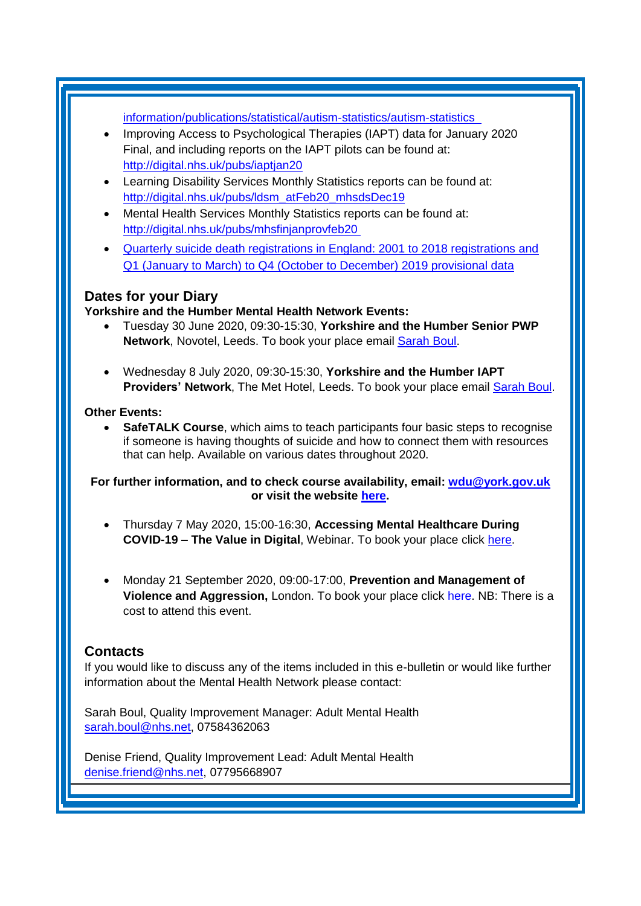[information/publications/statistical/autism-statistics/autism-statistics](https://elinkeu.clickdimensions.com/c/6/?T=NTgyNTUzNzk%3AcDEtYjIwMDk3LTk1NzRiNTRmMjk2MTRiNDhiMjJhMmEyY2UwMTI5ODg1%3Ac2FyYWguYm91bEBuaHMubmV0%3AY29udGFjdC0wMWE0ZjMzNGMyMzVlOTExYTllNTAwMGQzYTJiYmRhMS1iMDAxYTU0ZjIwYTE0M2FjOGU4Y2ZmOTY3ZDg2YjliYQ%3AZmFsc2U%3AMjE%3A%3AaHR0cDovL2RpZ2l0YWwubmhzLnVrL3B1YnMvaWFwdGRlYzE5P19jbGRlZT1jMkZ5WVdndVltOTFiRUJ1YUhNdWJtVjAmcmVjaXBpZW50aWQ9Y29udGFjdC0wMWE0ZjMzNGMyMzVlOTExYTllNTAwMGQzYTJiYmRhMS1iMDAxYTU0ZjIwYTE0M2FjOGU4Y2ZmOTY3ZDg2YjliYSZlc2lkPTIxODM1ZDVlLTBlNzQtZWExMS1hODExLTAwMjI0ODAwN2Y4NA&K=csfHITdBViYUiSV2iCwbnA) 

- Improving Access to Psychological Therapies (IAPT) data for January 2020 Final, and including reports on the IAPT pilots can be found at: [http://digital.nhs.uk/pubs/iaptjan20](https://elinkeu.clickdimensions.com/c/6/?T=NTgyNTUzNzk%3AcDEtYjIwMDk3LTk1NzRiNTRmMjk2MTRiNDhiMjJhMmEyY2UwMTI5ODg1%3Ac2FyYWguYm91bEBuaHMubmV0%3AY29udGFjdC0wMWE0ZjMzNGMyMzVlOTExYTllNTAwMGQzYTJiYmRhMS1iMDAxYTU0ZjIwYTE0M2FjOGU4Y2ZmOTY3ZDg2YjliYQ%3AZmFsc2U%3AMjM%3A%3AaHR0cDovL2RpZ2l0YWwubmhzLnVrL3B1YnMvaWFwdGphbjIwP19jbGRlZT1jMkZ5WVdndVltOTFiRUJ1YUhNdWJtVjAmcmVjaXBpZW50aWQ9Y29udGFjdC0wMWE0ZjMzNGMyMzVlOTExYTllNTAwMGQzYTJiYmRhMS1iMDAxYTU0ZjIwYTE0M2FjOGU4Y2ZmOTY3ZDg2YjliYSZlc2lkPTIxODM1ZDVlLTBlNzQtZWExMS1hODExLTAwMjI0ODAwN2Y4NA&K=i64YDkpi-s1gzodl8yF_aw)
- Learning Disability Services Monthly Statistics reports can be found at: [http://digital.nhs.uk/pubs/ldsm\\_atFeb20\\_mhsdsDec19](https://elinkeu.clickdimensions.com/c/6/?T=NTgyNTUzNzk%3AcDEtYjIwMDk3LTk1NzRiNTRmMjk2MTRiNDhiMjJhMmEyY2UwMTI5ODg1%3Ac2FyYWguYm91bEBuaHMubmV0%3AY29udGFjdC0wMWE0ZjMzNGMyMzVlOTExYTllNTAwMGQzYTJiYmRhMS1iMDAxYTU0ZjIwYTE0M2FjOGU4Y2ZmOTY3ZDg2YjliYQ%3AZmFsc2U%3AMTk%3A%3AaHR0cDovL2RpZ2l0YWwubmhzLnVrL3B1YnMvbGRzbV9hdEZlYjIwX21oc2RzRGVjMTk_X2NsZGVlPWMyRnlZV2d1WW05MWJFQnVhSE11Ym1WMCZyZWNpcGllbnRpZD1jb250YWN0LTAxYTRmMzM0YzIzNWU5MTFhOWU1MDAwZDNhMmJiZGExLWIwMDFhNTRmMjBhMTQzYWM4ZThjZmY5NjdkODZiOWJhJmVzaWQ9MjE4MzVkNWUtMGU3NC1lYTExLWE4MTEtMDAyMjQ4MDA3Zjg0&K=Veqyt3IA5tlG05jm74I5uw)
- Mental Health Services Monthly Statistics reports can be found at: [http://digital.nhs.uk/pubs/mhsfinjanprovfeb20](https://elinkeu.clickdimensions.com/c/6/?T=NTgyNTUzNzk%3AcDEtYjIwMDk3LTk1NzRiNTRmMjk2MTRiNDhiMjJhMmEyY2UwMTI5ODg1%3Ac2FyYWguYm91bEBuaHMubmV0%3AY29udGFjdC0wMWE0ZjMzNGMyMzVlOTExYTllNTAwMGQzYTJiYmRhMS1iMDAxYTU0ZjIwYTE0M2FjOGU4Y2ZmOTY3ZDg2YjliYQ%3AZmFsc2U%3AMTY%3A%3AaHR0cDovL2RpZ2l0YWwubmhzLnVrL3B1YnMvbWhzZmluamFucHJvdmZlYjIwJUMyJUEwP19jbGRlZT1jMkZ5WVdndVltOTFiRUJ1YUhNdWJtVjAmcmVjaXBpZW50aWQ9Y29udGFjdC0wMWE0ZjMzNGMyMzVlOTExYTllNTAwMGQzYTJiYmRhMS1iMDAxYTU0ZjIwYTE0M2FjOGU4Y2ZmOTY3ZDg2YjliYSZlc2lkPTIxODM1ZDVlLTBlNzQtZWExMS1hODExLTAwMjI0ODAwN2Y4NA&K=UMelCQq0mBmq4PaDRDN6sw)
- [Quarterly suicide death registrations in England: 2001 to 2018 registrations and](https://kingsfundmail.org.uk/21A8-6TN5M-FLWT3F-40QXTU-1/c.aspx)  Q1 (January [to March\) to Q4 \(October to December\) 2019 provisional data](https://kingsfundmail.org.uk/21A8-6TN5M-FLWT3F-40QXTU-1/c.aspx)

# **Dates for your Diary**

**Yorkshire and the Humber Mental Health Network Events:**

- Tuesday 30 June 2020, 09:30-15:30, **Yorkshire and the Humber Senior PWP Network**, Novotel, Leeds. To book your place email [Sarah Boul.](mailto:sarah.boul@nhs.net)
- Wednesday 8 July 2020, 09:30-15:30, **Yorkshire and the Humber IAPT Providers' Network**, The Met Hotel, Leeds. To book your place email [Sarah Boul.](mailto:sarah.boul@nhs.net)

#### **Other Events:**

• **SafeTALK Course**, which aims to teach participants four basic steps to recognise if someone is having thoughts of suicide and how to connect them with resources that can help. Available on various dates throughout 2020.

#### **For further information, and to check course availability, email: [wdu@york.gov.uk](mailto:wdu@york.gov.uk) or visit the website [here.](http://www.yorkworkforcedevelopment.org.uk/)**

- Thursday 7 May 2020, 15:00-16:30, **Accessing Mental Healthcare During COVID-19 – The Value in Digital**, Webinar. To book your place click [here.](https://us02web.zoom.us/webinar/register/5415863579430/WN_i8by_2nsSXek7VcgAGVQbA?utm_campaign=Covid%20Webinar%20-%20Derek%20Jorge&utm_medium=email&_hsmi=86998109&_hsenc=p2ANqtz--xf3-cFPYoJaQz8DYuGTRRAJuCFpmhgU0k0Dg7-nDIOw4nCMn4YCEF6TuMFQbMRuY-MdlL&utm_content=86998109&utm_source=hs_email)
- Monday 21 September 2020, 09:00-17:00, **Prevention and Management of Violence and Aggression,** London. To book your place click [here.](https://www.healthcareconferencesuk.co.uk/conferences-masterclasses/prevention-and-management-of-violence-and-aggression-pmva-masterclass/book/the-studio-conference-centre-birmingham-2020-5-12?utm_medium=email&utm_source=HCUKKH&utm_campaign=PMVAMay2020) NB: There is a cost to attend this event.

# <span id="page-6-0"></span>**Contacts**

If you would like to discuss any of the items included in this e-bulletin or would like further information about the Mental Health Network please contact:

Sarah Boul, Quality Improvement Manager: Adult Mental Health [sarah.boul@nhs.net,](mailto:sarah.boul@nhs.net) 07584362063

Denise Friend, Quality Improvement Lead: Adult Mental Health denise.friend@nhs.net, 07795668907